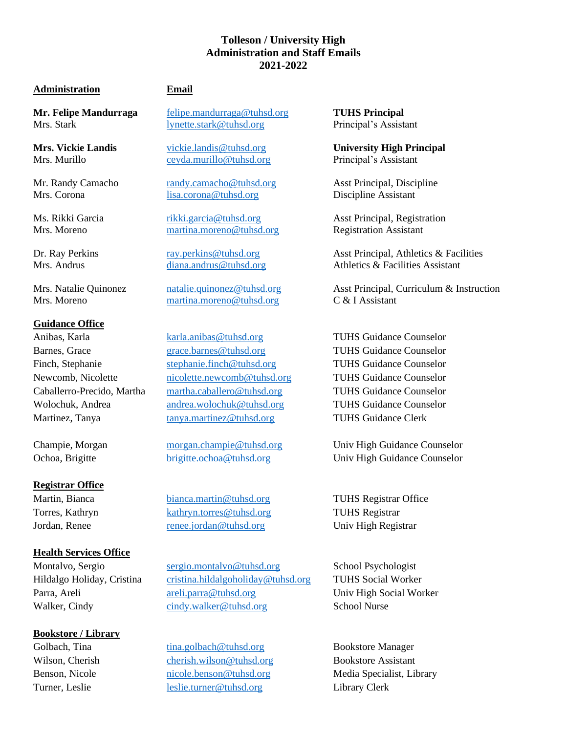# **Tolleson / University High Administration and Staff Emails 2021-2022**

### **Administration Email**

### **Guidance Office**

### **Registrar Office**

### **Health Services Office**

### **Bookstore / Library**

**Mr. Felipe Mandurraga** [felipe.mandurraga@tuhsd.org](mailto:felipe.mandurraga@tuhsd.org) **TUHS Principal** Mrs. Stark [lynette.stark@tuhsd.org](mailto:lynette.stark@tuhsd.org) Principal's Assistant

Mrs. Murillo [ceyda.murillo@tuhsd.org](mailto:ceyda.murillo@tuhsd.org) Principal's Assistant

Mrs. Corona [lisa.corona@tuhsd.org](mailto:lisa.corona@tuhsd.org) Discipline Assistant

Mrs. Moreno [martina.moreno@tuhsd.org](mailto:martina.moreno@tuhsd.org) Registration Assistant

Mrs. Moreno [martina.moreno@tuhsd.org](mailto:lisa.corona@tuhsd.org) C & I Assistant

Anibas, Karla [karla.anibas@tuhsd.org](mailto:karla.anibas@tuhsd.org) TUHS Guidance Counselor Barnes, Grace [grace.barnes@tuhsd.org](mailto:grace.barnes@tuhsd.org) TUHS Guidance Counselor Finch, Stephanie [stephanie.finch@tuhsd.org](mailto:stephanie.finch@tuhsd.org) TUHS Guidance Counselor Newcomb, Nicolette [nicolette.newcomb@tuhsd.org](mailto:nicolette.newcomb@tuhsd.org) TUHS Guidance Counselor Caballerro-Precido, Martha [martha.caballero@tuhsd.org](mailto:martha.caballero@tuhsd.org) TUHS Guidance Counselor Wolochuk, Andrea [andrea.wolochuk@tuhsd.org](mailto:andrea.wolochuk@tuhsd.org) TUHS Guidance Counselor Martinez, Tanya [tanya.martinez@tuhsd.org](mailto:tanya.martinez@tuhsd.org) TUHS Guidance Clerk

Martin, Bianca [bianca.martin@tuhsd.org](mailto:bianca.martin@tuhsd.org) TUHS Registrar Office Torres, Kathryn [kathryn.torres@tuhsd.org](mailto:kathryn.torres@tuhsd.org) TUHS Registrar Jordan, Renee The Registrar [renee.jordan@tuhsd.org](mailto:renee.jordan@tuhsd.org) Univ High Registrar

Montalvo, Sergio Sergio.montalvo@tuhsd.org School Psychologist Hildalgo Holiday, Cristina [cristina.hildalgoholiday@tuhsd.org](mailto:cristina.hildalgoholiday@tuhsd.org) TUHS Social Worker Parra, Areli [areli.parra@tuhsd.org](mailto:areli.parra@tuhsd.org) Univ High Social Worker Walker, Cindy [cindy.walker@tuhsd.org](mailto:cindy.walker@tuhsd.org) School Nurse

Golbach, Tina [tina.golbach@tuhsd.org](mailto:tina.golbach@tuhsd.org) Bookstore Manager Wilson, Cherish [cherish.wilson@tuhsd.org](mailto:cherish.wilson@tuhsd.org) Bookstore Assistant Benson, Nicole [nicole.benson@tuhsd.org](mailto:nicole.benson@tuhsd.org) Media Specialist, Library Turner, Leslie [leslie.turner@tuhsd.org](mailto:leslie.turner@tuhsd.org) Library Clerk

**Mrs. Vickie Landis** [vickie.landis@tuhsd.org](mailto:vickie.landis@tuhsd.org) **University High Principal**

Mr. Randy Camacho [randy.camacho@tuhsd.org](mailto:randy.camacho@tuhsd.org) Asst Principal, Discipline

Ms. Rikki Garcia **[rikki.garcia@tuhsd.org](mailto:rikki.garcia@tuhsd.org)** Asst Principal, Registration

Dr. Ray Perkins [ray.perkins@tuhsd.org](mailto:ray.perkins@tuhsd.org) Asst Principal, Athletics & Facilities Mrs. Andrus [diana.andrus@tuhsd.org](mailto:diana.andrus@tuhsd.org) Athletics & Facilities Assistant

Mrs. Natalie Quinonez [natalie.quinonez@tuhsd.org](mailto:natalie.quinonez@tuhsd.org) Asst Principal, Curriculum & Instruction

Champie, Morgan [morgan.champie@tuhsd.org](mailto:morgan.champie@tuhsd.org) Univ High Guidance Counselor Ochoa, Brigitte [brigitte.ochoa@tuhsd.org](mailto:brigitte.ochoa@tuhsd.org) Univ High Guidance Counselor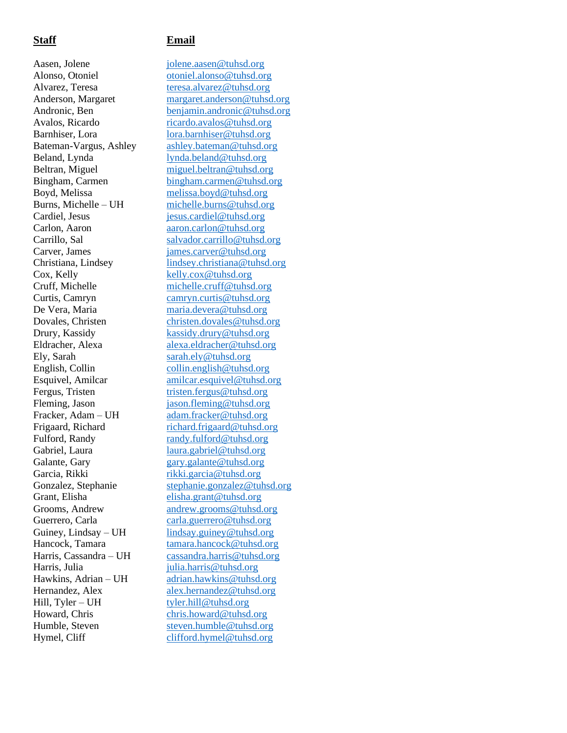Cox, Kelly [kelly.cox@tuhsd.org](mailto:kelly.cox@tuhsd.org) Ely, Sarah [sarah.ely@tuhsd.org](mailto:sarah.ely@tuhsd.org) Hill,  $T$ yler – UH [tyler.hill@tuhsd.org](mailto:tyler.hill@tuhsd.org)

# **Staff Email**

Aasen, Jolene iolene.aasen@tuhsd.org Alonso, Otoniel [otoniel.alonso@tuhsd.org](mailto:otoniel.alonso@tuhsd.org) Alvarez, Teresa [teresa.alvarez@tuhsd.org](mailto:teresa.alvarez@tuhsd.org) Anderson, Margaret [margaret.anderson@tuhsd.org](mailto:margaret.anderson@tuhsd.org) Andronic, Ben [benjamin.andronic@tuhsd.org](mailto:benjamin.andronic@tuhsd.org) Avalos, Ricardo [ricardo.avalos@tuhsd.org](mailto:ricardo.avalos@tuhsd.org) Barnhiser, Lora [lora.barnhiser@tuhsd.org](mailto:lora.barnhiser@tuhsd.org) Bateman-Vargus, Ashley [ashley.bateman@tuhsd.org](mailto:ashley.bateman@tuhsd.org) Beland, Lynda [lynda.beland@tuhsd.org](mailto:lynda.beland@tuhsd.org)  Beltran, Miguel [miguel.beltran@tuhsd.org](mailto:miguel.beltran@tuhsd.org) Bingham, Carmen bingham.carmen@tuhsd.org Boyd, Melissa [melissa.boyd@tuhsd.org](mailto:melissa.boyd@tuhsd.org) Burns, Michelle – UH [michelle.burns@tuhsd.org](mailto:michelle.burns@tuhsd.org) Cardiel, Jesus iesus.cardiel@tuhsd.org Carlon, Aaron [aaron.carlon@tuhsd.org](mailto:aaron.carlon@tuhsd.org) Carrillo, Sal [salvador.carrillo@tuhsd.org](mailto:salvador.carrillo@tuhsd.org) Carver, James iames.carver@tuhsd.org Christiana, Lindsey [lindsey.christiana@tuhsd.org](mailto:lindsey.christiana@tuhsd.org) Cruff, Michelle [michelle.cruff@tuhsd.org](mailto:michelle.cruff@tuhsd.org) Curtis, Camryn [camryn.curtis@tuhsd.org](mailto:camryn.curtis@tuhsd.org) De Vera, Maria [maria.devera@tuhsd.org](mailto:maria.devera@tuhsd.org) Dovales, Christen [christen.dovales@tuhsd.org](mailto:christen.dovales@tuhsd.org) Drury, Kassidy [kassidy.drury@tuhsd.org](mailto:kassidy.drury@tuhsd.org) Eldracher, Alexa [alexa.eldracher@tuhsd.org](mailto:alexa.eldracher@tuhsd.org) English, Collin [collin.english@tuhsd.org](mailto:collin.english@tuhsd.org) Esquivel, Amilcar [amilcar.esquivel@tuhsd.org](mailto:amilcar.esquivel@tuhsd.org) Fergus, Tristen [tristen.fergus@tuhsd.org](mailto:tristen.fergus@tuhsd.org) Fleming, Jason iason.fleming@tuhsd.org Fracker, Adam – UH [adam.fracker@tuhsd.org](mailto:adam.fracker@tuhsd.org) Frigaard, Richard [richard.frigaard@tuhsd.org](mailto:richard.frigaard@tuhsd.org) Fulford, Randy [randy.fulford@tuhsd.org](mailto:randy.fulford@tuhsd.org) Gabriel, Laura [laura.gabriel@tuhsd.org](mailto:laura.gabriel@tuhsd.org) Galante, Gary [gary.galante@tuhsd.org](mailto:gary.galante@tuhsd.org) Garcia, Rikki [rikki.garcia@tuhsd.org](mailto:rikki.garcia@tuhsd.org) Gonzalez, Stephanie [stephanie.gonzalez@tuhsd.org](mailto:stephanie.gonzalez@tuhsd.org) Grant, Elisha [elisha.grant@tuhsd.org](mailto:elisha.grant@tuhsd.org) Grooms, Andrew [andrew.grooms@tuhsd.org](mailto:andrew.grooms@tuhsd.org) Guerrero, Carla [carla.guerrero@tuhsd.org](mailto:carla.guerrero@tuhsd.org) Guiney, Lindsay – UH [lindsay.guiney@tuhsd.org](mailto:lindsay.guiney@tuhsd.org) Hancock, Tamara [tamara.hancock@tuhsd.org](mailto:tamara.hancock@tuhsd.org) Harris, Cassandra – UH [cassandra.harris@tuhsd.org](mailto:cassandra.harris@tuhsd.org) Harris, Julia iulia.harris@tuhsd.org Hawkins, Adrian – UH [adrian.hawkins@tuhsd.org](mailto:adrian.hawkins@tuhsd.org) Hernandez, Alex [alex.hernandez@tuhsd.org](mailto:alex.hernandez@tuhsd.org) Howard, Chris [chris.howard@tuhsd.org](mailto:chris.howard@tuhsd.org) Humble, Steven [steven.humble@tuhsd.org](mailto:steven.humble@tuhsd.org) Hymel, Cliff [clifford.hymel@tuhsd.org](mailto:clifford.hymel@tuhsd.org)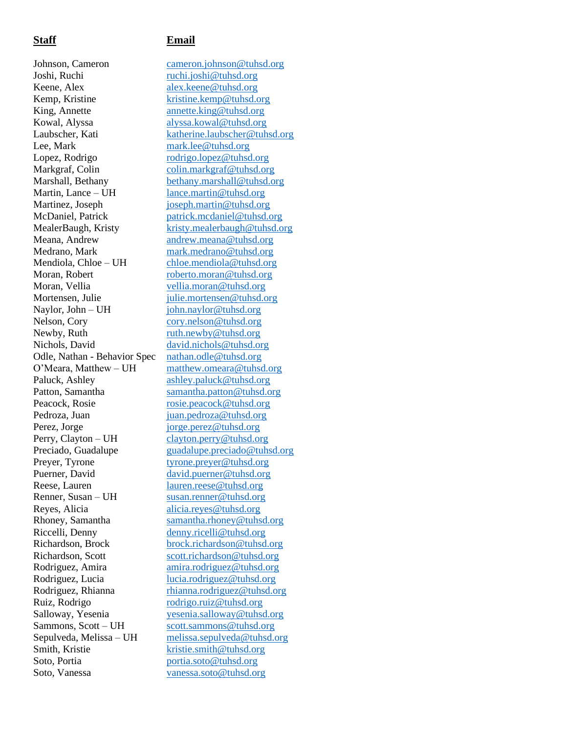# **Staff Email**

Joshi, Ruchi [ruchi.joshi@tuhsd.org](mailto:ruchi.joshi@tuhsd.org) Keene, Alex [alex.keene@tuhsd.org](mailto:alex.keene@tuhsd.org) Kemp, Kristine [kristine.kemp@tuhsd.org](mailto:kristine.kemp@tuhsd.org) King, Annette [annette.king@tuhsd.org](mailto:annette.king@tuhsd.org) Kowal, Alyssa [alyssa.kowal@tuhsd.org](mailto:alyssa.kowal@tuhsd.org) Lee, Mark [mark.lee@tuhsd.org](mailto:mark.lee@tuhsd.org) Lopez, Rodrigo [rodrigo.lopez@tuhsd.org](mailto:rodrigo.lopez@tuhsd.org) Markgraf, Colin [colin.markgraf@tuhsd.org](mailto:colin.markgraf@tuhsd.org) Martin, Lance – UH [lance.martin@tuhsd.org](mailto:lance.martin@tuhsd.org) Martinez, Joseph is interesting in the interesting of the interesting in the interesting of the interesting of  $\alpha$ Meana, Andrew [andrew.meana@tuhsd.org](mailto:andrew.meana@tuhsd.org) Medrano, Mark [mark.medrano@tuhsd.org](mailto:mark.medrano@tuhsd.org) Mendiola, Chloe – UH [chloe.mendiola@tuhsd.org](mailto:chloe.mendiola@tuhsd.org) Moran, Robert [roberto.moran@tuhsd.org](mailto:roberto.moran@tuhsd.org) Moran, Vellia [vellia.moran@tuhsd.org](mailto:vellia.moran@tuhsd.org) Mortensen, Julie iulie.mortensen@tuhsd.org Naylor, John – UH [john.naylor@tuhsd.org](mailto:john.naylor@tuhsd.org) Nelson, Cory [cory.nelson@tuhsd.org](mailto:cory.nelson@tuhsd.org) Newby, Ruth [ruth.newby@tuhsd.org](mailto:ruth.newby@tuhsd.org) Nichols, David [david.nichols@tuhsd.org](mailto:david.nichols@tuhsd.org) Odle, Nathan - Behavior Spec [nathan.odle@tuhsd.org](mailto:nathan.odle@tuhsd.org)<br>O'Meara, Matthew - UH matthew.omeara@tuhsd Paluck, Ashley [ashley.paluck@tuhsd.org](mailto:ashley.paluck@tuhsd.org) Peacock, Rosie [rosie.peacock@tuhsd.org](mailto:rosie.peacock@tuhsd.org) Pedroza, Juan [juan.pedroza@tuhsd.org](mailto:juan.pedroza@tuhsd.org) Perez, Jorge [jorge.perez@tuhsd.org](mailto:jorge.perez@tuhsd.org) Perry, Clayton – UH [clayton.perry@tuhsd.org](mailto:clayton.perry@tuhsd.org)  Preyer, Tyrone [tyrone.preyer@tuhsd.org](mailto:tyrone.preyer@tuhsd.org) Puerner, David [david.puerner@tuhsd.org](mailto:david.puerner@tuhsd.org) Reese, Lauren [lauren.reese@tuhsd.org](mailto:lauren.reese@tuhsd.org) Renner, Susan – UH [susan.renner@tuhsd.org](mailto:susan.renner@tuhsd.org) Reyes, Alicia [alicia.reyes@tuhsd.org](mailto:alicia.reyes@tuhsd.org) Riccelli, Denny [denny.ricelli@tuhsd.org](mailto:denny.ricelli@tuhsd.org) Richardson, Scott [scott.richardson@tuhsd.org](mailto:scott.richardson@tuhsd.org) Rodriguez, Amira [amira.rodriguez@tuhsd.org](mailto:amira.rodriguez@tuhsd.org) Rodriguez, Lucia [lucia.rodriguez@tuhsd.org](mailto:lucia.rodriguez@tuhsd.org) Ruiz, Rodrigo [rodrigo.ruiz@tuhsd.org](mailto:rodrigo.ruiz@tuhsd.org) Sammons, Scott – UH [scott.sammons@tuhsd.org](mailto:scott.sammons@tuhsd.org) Smith, Kristie [kristie.smith@tuhsd.org](mailto:kristie.smith@tuhsd.org) Soto, Portia [portia.soto@tuhsd.org](mailto:portia.soto@tuhsd.org) Soto, Vanessa [vanessa.soto@tuhsd.org](mailto:vanessa.soto@tuhsd.org)

Johnson, Cameron [cameron.johnson@tuhsd.org](mailto:cameron.johnson@tuhsd.org) Laubscher, Kati [katherine.laubscher@tuhsd.org](mailto:katherine.laubscher@tuhsd.org) Marshall, Bethany [bethany.marshall@tuhsd.org](mailto:bethany.marshall@tuhsd.org) McDaniel, Patrick [patrick.mcdaniel@tuhsd.org](mailto:patrick.mcdaniel@tuhsd.org) MealerBaugh, Kristy [kristy.mealerbaugh@tuhsd.org](mailto:kristy.mealerbaugh@tuhsd.org) [matthew.omeara@tuhsd.org](mailto:matthew.omeara@tuhsd.org) Patton, Samantha [samantha.patton@tuhsd.org](mailto:samantha.patton@tuhsd.org) Preciado, Guadalupe [guadalupe.preciado@tuhsd.org](mailto:guadalupe.preciado@tuhsd.org) Rhoney, Samantha [samantha.rhoney@tuhsd.org](mailto:samantha.rhoney@tuhsd.org) Richardson, Brock [brock.richardson@tuhsd.org](mailto:brock.richardson@tuhsd.org) Rodriguez, Rhianna [rhianna.rodriguez@tuhsd.org](mailto:rhianna.rodriguez@tuhsd.org) Salloway, Yesenia [yesenia.salloway@tuhsd.org](mailto:yesenia.salloway@tuhsd.org) Sepulveda, Melissa – UH [melissa.sepulveda@tuhsd.org](mailto:melissa.sepulveda@tuhsd.org)